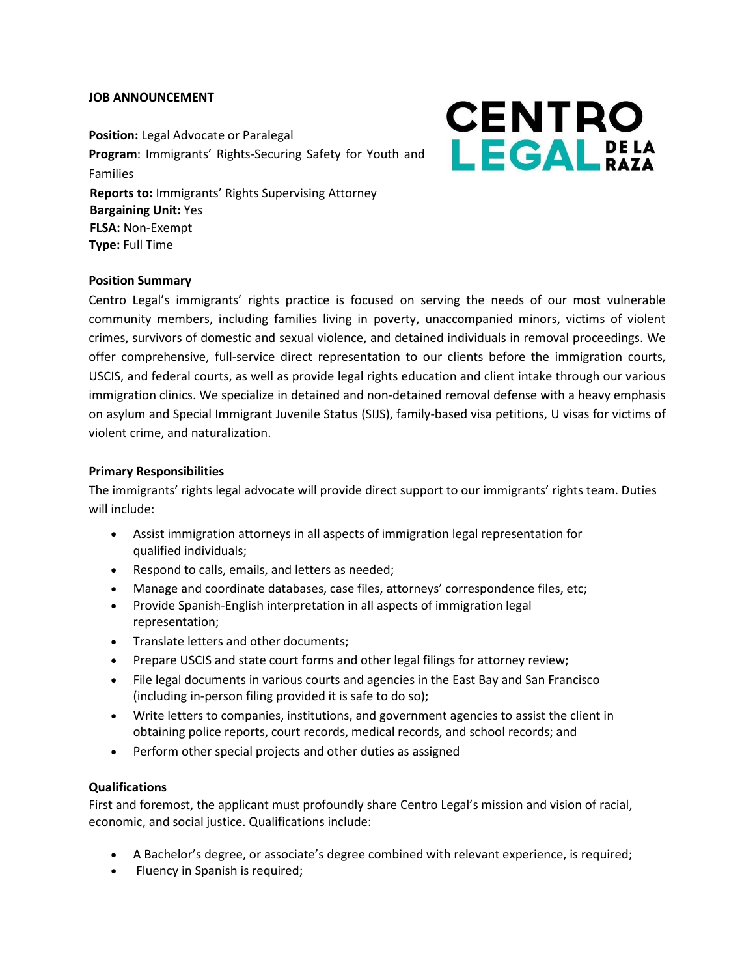#### **JOB ANNOUNCEMENT**

**Position:** Legal Advocate or Paralegal **Program**: Immigrants' Rights-Securing Safety for Youth and Families **Reports to:** Immigrants' Rights Supervising Attorney **Bargaining Unit:** Yes **FLSA:** Non-Exempt **Type:** Full Time

# **CENTRO** LEGALPELA

### **Position Summary**

Centro Legal's immigrants' rights practice is focused on serving the needs of our most vulnerable community members, including families living in poverty, unaccompanied minors, victims of violent crimes, survivors of domestic and sexual violence, and detained individuals in removal proceedings. We offer comprehensive, full-service direct representation to our clients before the immigration courts, USCIS, and federal courts, as well as provide legal rights education and client intake through our various immigration clinics. We specialize in detained and non-detained removal defense with a heavy emphasis on asylum and Special Immigrant Juvenile Status (SIJS), family-based visa petitions, U visas for victims of violent crime, and naturalization.

#### **Primary Responsibilities**

The immigrants' rights legal advocate will provide direct support to our immigrants' rights team. Duties will include:

- Assist immigration attorneys in all aspects of immigration legal representation for qualified individuals;
- Respond to calls, emails, and letters as needed;
- Manage and coordinate databases, case files, attorneys' correspondence files, etc;
- Provide Spanish-English interpretation in all aspects of immigration legal representation;
- Translate letters and other documents;
- Prepare USCIS and state court forms and other legal filings for attorney review;
- File legal documents in various courts and agencies in the East Bay and San Francisco (including in-person filing provided it is safe to do so);
- Write letters to companies, institutions, and government agencies to assist the client in obtaining police reports, court records, medical records, and school records; and
- Perform other special projects and other duties as assigned

#### **Qualifications**

First and foremost, the applicant must profoundly share Centro Legal's mission and vision of racial, economic, and social justice. Qualifications include:

- A Bachelor's degree, or associate's degree combined with relevant experience, is required;
- Fluency in Spanish is required;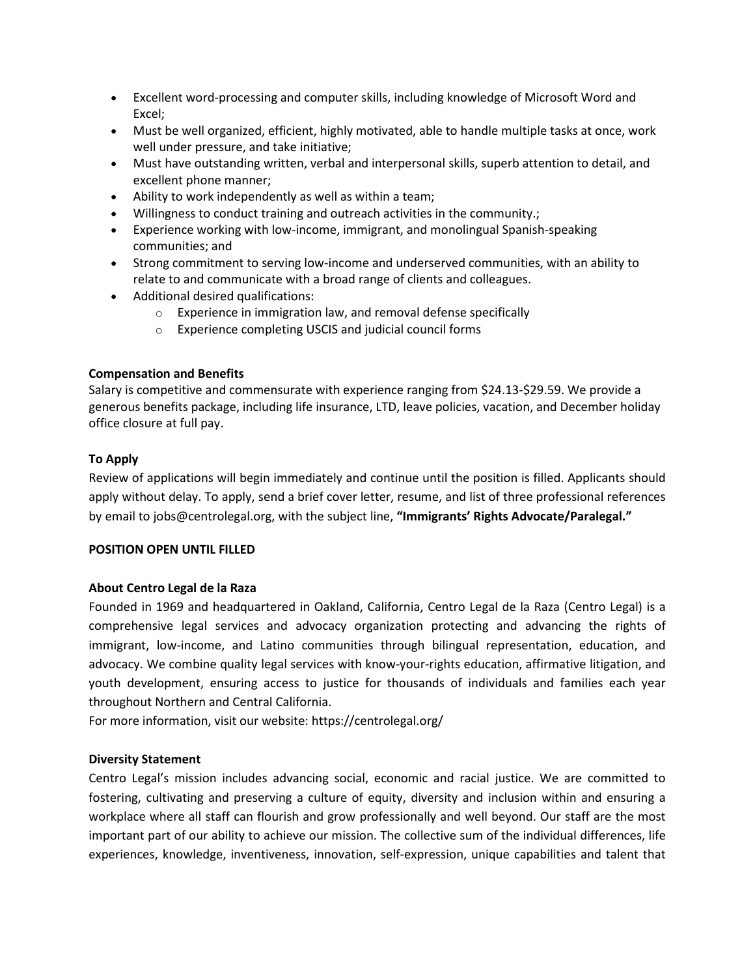- Excellent word-processing and computer skills, including knowledge of Microsoft Word and Excel;
- Must be well organized, efficient, highly motivated, able to handle multiple tasks at once, work well under pressure, and take initiative;
- Must have outstanding written, verbal and interpersonal skills, superb attention to detail, and excellent phone manner;
- Ability to work independently as well as within a team;
- Willingness to conduct training and outreach activities in the community.;
- Experience working with low-income, immigrant, and monolingual Spanish-speaking communities; and
- Strong commitment to serving low-income and underserved communities, with an ability to relate to and communicate with a broad range of clients and colleagues.
- Additional desired qualifications:
	- o Experience in immigration law, and removal defense specifically
	- o Experience completing USCIS and judicial council forms

## **Compensation and Benefits**

Salary is competitive and commensurate with experience ranging from \$24.13-\$29.59. We provide a generous benefits package, including life insurance, LTD, leave policies, vacation, and December holiday office closure at full pay.

## **To Apply**

Review of applications will begin immediately and continue until the position is filled. Applicants should apply without delay. To apply, send a brief cover letter, resume, and list of three professional references by email to jobs@centrolegal.org, with the subject line, **"Immigrants' Rights Advocate/Paralegal."**

## **POSITION OPEN UNTIL FILLED**

## **About Centro Legal de la Raza**

Founded in 1969 and headquartered in Oakland, California, Centro Legal de la Raza (Centro Legal) is a comprehensive legal services and advocacy organization protecting and advancing the rights of immigrant, low-income, and Latino communities through bilingual representation, education, and advocacy. We combine quality legal services with know-your-rights education, affirmative litigation, and youth development, ensuring access to justice for thousands of individuals and families each year throughout Northern and Central California.

For more information, visit our website:<https://centrolegal.org/>

#### **Diversity Statement**

Centro Legal's mission includes advancing social, economic and racial justice. We are committed to fostering, cultivating and preserving a culture of equity, diversity and inclusion within and ensuring a workplace where all staff can flourish and grow professionally and well beyond. Our staff are the most important part of our ability to achieve our mission. The collective sum of the individual differences, life experiences, knowledge, inventiveness, innovation, self-expression, unique capabilities and talent that